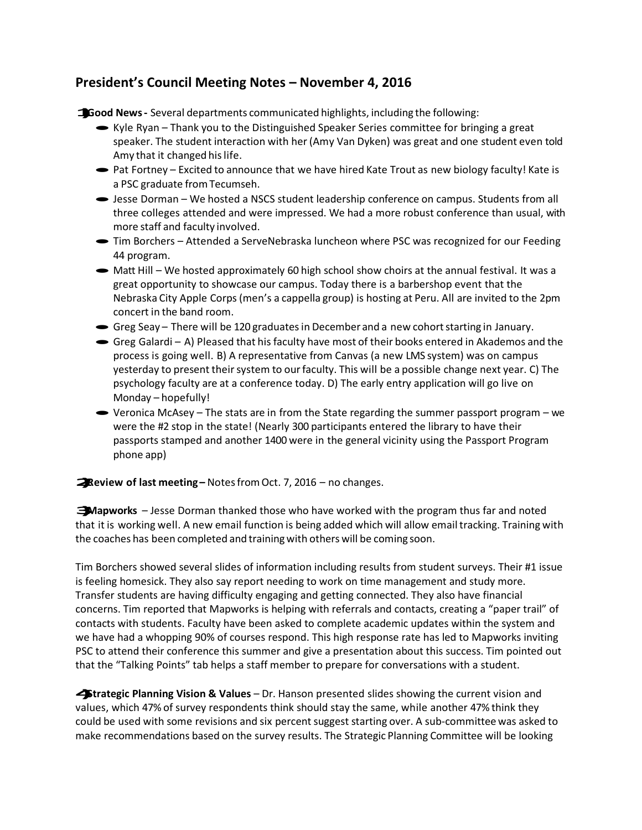## **President's Council Meeting Notes – November 4, 2016**

**1)Good News-** Several departments communicated highlights, including the following:

- $\blacktriangleright$  Kyle Ryan Thank you to the Distinguished Speaker Series committee for bringing a great speaker. The student interaction with her (Amy Van Dyken) was great and one student even told Amy that it changed hislife.
- Pat Fortney Excited to announce that we have hired Kate Trout as new biology faculty! Kate is a PSC graduate fromTecumseh.
- ·Jesse Dorman We hosted a NSCS student leadership conference on campus. Students from all three colleges attended and were impressed. We had a more robust conference than usual, with more staff and faculty involved.
- Tim Borchers Attended a ServeNebraska luncheon where PSC was recognized for our Feeding 44 program.
- $\blacktriangleright$  Matt Hill We hosted approximately 60 high school show choirs at the annual festival. It was a great opportunity to showcase our campus. Today there is a barbershop event that the Nebraska City Apple Corps(men's a cappella group) is hosting at Peru. All are invited to the 2pm concert in the band room. concert in the band room.<br>
• Greg Seay – There will be 120 graduates in December and a new cohort starting in January.
- 
- Greg Seay There will be 120 graduates in December and a new cohort starting in January.<br>• Greg Galardi A) Pleased that his faculty have most of their books entered in Akademos and the process is going well. B) A representative from Canvas (a new LMS system) was on campus yesterday to present theirsystem to ourfaculty. This will be a possible change next year. C) The psychology faculty are at a conference today. D) The early entry application will go live on Monday – hopefully!
- $\bullet$  Veronica McAsey The stats are in from the State regarding the summer passport program we were the #2 stop in the state! (Nearly 300 participants entered the library to have their passports stamped and another 1400 were in the general vicinity using the Passport Program phone app)

## **2)Review of last meeting –** NotesfromOct. 7, <sup>2016</sup> – no changes.

**3)Mapworks** – Jesse Dorman thanked those who have worked with the program thus far and noted that it is working well. A new email function is being added which will allow email tracking. Training with the coaches has been completed and trainingwith others will be coming soon.

Tim Borchers showed several slides of information including results from student surveys. Their #1 issue is feeling homesick. They also say report needing to work on time management and study more. Transfer students are having difficulty engaging and getting connected. They also have financial concerns. Tim reported that Mapworks is helping with referrals and contacts, creating a "paper trail" of contacts with students. Faculty have been asked to complete academic updates within the system and we have had a whopping 90% of courses respond. This high response rate has led to Mapworks inviting PSC to attend their conference this summer and give a presentation about this success. Tim pointed out that the "Talking Points" tab helps a staff member to prepare for conversations with a student.

**4)Strategic Planning Vision & Values** – Dr. Hanson presented slides showing the current vision and values, which 47% of survey respondents think should stay the same, while another 47% think they could be used with some revisions and six percent suggest starting over. A sub-committee was asked to make recommendations based on the survey results. The Strategic Planning Committee will be looking